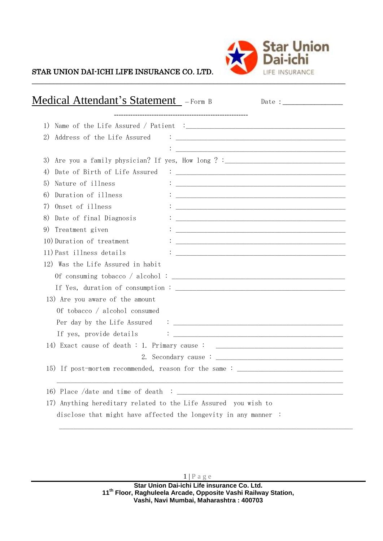

## STAR UNION DAI-ICHI LIFE INSURANCE CO. LTD.

| <b>Medical Attendant's Statement</b> - Form B<br>Date : $\frac{1}{\sqrt{1-\frac{1}{2}}\cdot\sqrt{1-\frac{1}{2}}\cdot\sqrt{1-\frac{1}{2}}\cdot\sqrt{1-\frac{1}{2}}\cdot\sqrt{1-\frac{1}{2}}\cdot\sqrt{1-\frac{1}{2}}\cdot\sqrt{1-\frac{1}{2}}\cdot\sqrt{1-\frac{1}{2}}\cdot\sqrt{1-\frac{1}{2}}\cdot\sqrt{1-\frac{1}{2}}\cdot\sqrt{1-\frac{1}{2}}\cdot\sqrt{1-\frac{1}{2}}\cdot\sqrt{1-\frac{1}{2}}\cdot\sqrt{1-\frac{1}{2}}\cdot\sqrt{1-\frac{1}{2}}\cdot\sqrt{1-\frac{1}{2}}\cdot$ |
|-------------------------------------------------------------------------------------------------------------------------------------------------------------------------------------------------------------------------------------------------------------------------------------------------------------------------------------------------------------------------------------------------------------------------------------------------------------------------------------|
|                                                                                                                                                                                                                                                                                                                                                                                                                                                                                     |
|                                                                                                                                                                                                                                                                                                                                                                                                                                                                                     |
| 2)<br>Address of the Life Assured                                                                                                                                                                                                                                                                                                                                                                                                                                                   |
|                                                                                                                                                                                                                                                                                                                                                                                                                                                                                     |
|                                                                                                                                                                                                                                                                                                                                                                                                                                                                                     |
| 4)                                                                                                                                                                                                                                                                                                                                                                                                                                                                                  |
| Nature of illness<br>5)                                                                                                                                                                                                                                                                                                                                                                                                                                                             |
| Duration of illness<br>6)                                                                                                                                                                                                                                                                                                                                                                                                                                                           |
| Onset of illness<br>7)                                                                                                                                                                                                                                                                                                                                                                                                                                                              |
| Date of final Diagnosis<br>8)<br><u> 1989 - Johann John Stone, mensk politik (f. 1989)</u>                                                                                                                                                                                                                                                                                                                                                                                          |
| Treatment given<br>9)                                                                                                                                                                                                                                                                                                                                                                                                                                                               |
| 10) Duration of treatment<br><u> 1989 - Johann John Harry, mars ar yn y brenin y brenin y brenin y brenin y brenin y brenin y brenin y brenin</u>                                                                                                                                                                                                                                                                                                                                   |
| 11) Past illness details                                                                                                                                                                                                                                                                                                                                                                                                                                                            |
| 12) Was the Life Assured in habit                                                                                                                                                                                                                                                                                                                                                                                                                                                   |
|                                                                                                                                                                                                                                                                                                                                                                                                                                                                                     |
|                                                                                                                                                                                                                                                                                                                                                                                                                                                                                     |
| 13) Are you aware of the amount                                                                                                                                                                                                                                                                                                                                                                                                                                                     |
| Of tobacco / alcohol consumed                                                                                                                                                                                                                                                                                                                                                                                                                                                       |
|                                                                                                                                                                                                                                                                                                                                                                                                                                                                                     |
|                                                                                                                                                                                                                                                                                                                                                                                                                                                                                     |
| 14) Exact cause of death : 1. Primary cause : __________________________________                                                                                                                                                                                                                                                                                                                                                                                                    |
|                                                                                                                                                                                                                                                                                                                                                                                                                                                                                     |
| 15) If post-mortem recommended, reason for the same: ___________________________                                                                                                                                                                                                                                                                                                                                                                                                    |
|                                                                                                                                                                                                                                                                                                                                                                                                                                                                                     |
| 17) Anything hereditary related to the Life Assured you wish to                                                                                                                                                                                                                                                                                                                                                                                                                     |
| disclose that might have affected the longevity in any manner:                                                                                                                                                                                                                                                                                                                                                                                                                      |

\_\_\_\_\_\_\_\_\_\_\_\_\_\_\_\_\_\_\_\_\_\_\_\_\_\_\_\_\_\_\_\_\_\_\_\_\_\_\_\_\_\_\_\_\_\_\_\_\_\_\_\_\_\_\_\_\_\_\_\_\_\_\_\_\_\_\_\_\_\_\_\_\_\_\_\_\_\_\_\_\_\_\_